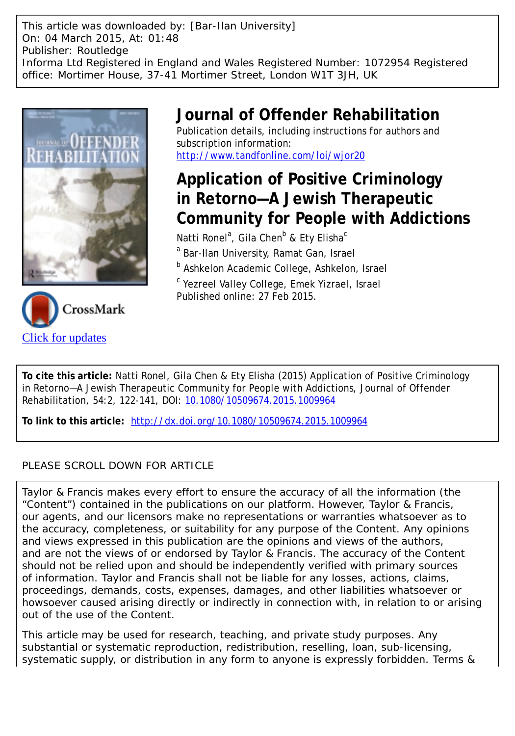This article was downloaded by: [Bar-Ilan University] On: 04 March 2015, At: 01:48 Publisher: Routledge Informa Ltd Registered in England and Wales Registered Number: 1072954 Registered office: Mortimer House, 37-41 Mortimer Street, London W1T 3JH, UK





## **Journal of Offender Rehabilitation**

Publication details, including instructions for authors and subscription information: <http://www.tandfonline.com/loi/wjor20>

# **Application of Positive Criminology in Retorno—A Jewish Therapeutic Community for People with Addictions**

Natti Ronel<sup>a</sup>, Gila Chen<sup>b</sup> & Ety Elisha<sup>c</sup>

<sup>a</sup> Bar-Ilan University, Ramat Gan, Israel

**b** Ashkelon Academic College, Ashkelon, Israel

<sup>c</sup> Yezreel Valley College, Emek Yizrael, Israel Published online: 27 Feb 2015.

**To cite this article:** Natti Ronel, Gila Chen & Ety Elisha (2015) Application of Positive Criminology in Retorno—A Jewish Therapeutic Community for People with Addictions, Journal of Offender Rehabilitation, 54:2, 122-141, DOI: [10.1080/10509674.2015.1009964](http://www.tandfonline.com/action/showCitFormats?doi=10.1080/10509674.2015.1009964)

**To link to this article:** <http://dx.doi.org/10.1080/10509674.2015.1009964>

### PLEASE SCROLL DOWN FOR ARTICLE

Taylor & Francis makes every effort to ensure the accuracy of all the information (the "Content") contained in the publications on our platform. However, Taylor & Francis, our agents, and our licensors make no representations or warranties whatsoever as to the accuracy, completeness, or suitability for any purpose of the Content. Any opinions and views expressed in this publication are the opinions and views of the authors, and are not the views of or endorsed by Taylor & Francis. The accuracy of the Content should not be relied upon and should be independently verified with primary sources of information. Taylor and Francis shall not be liable for any losses, actions, claims, proceedings, demands, costs, expenses, damages, and other liabilities whatsoever or howsoever caused arising directly or indirectly in connection with, in relation to or arising out of the use of the Content.

This article may be used for research, teaching, and private study purposes. Any substantial or systematic reproduction, redistribution, reselling, loan, sub-licensing, systematic supply, or distribution in any form to anyone is expressly forbidden. Terms &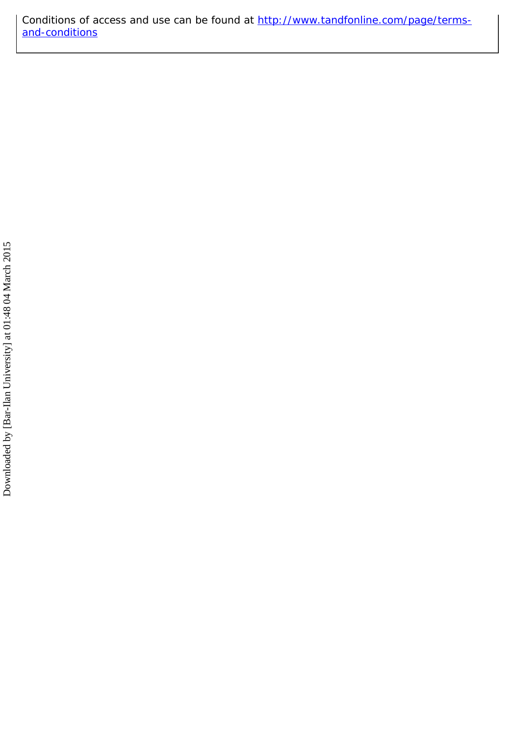Conditions of access and use can be found at [http://www.tandfonline.com/page/terms](http://www.tandfonline.com/page/terms-and-conditions)[and-conditions](http://www.tandfonline.com/page/terms-and-conditions)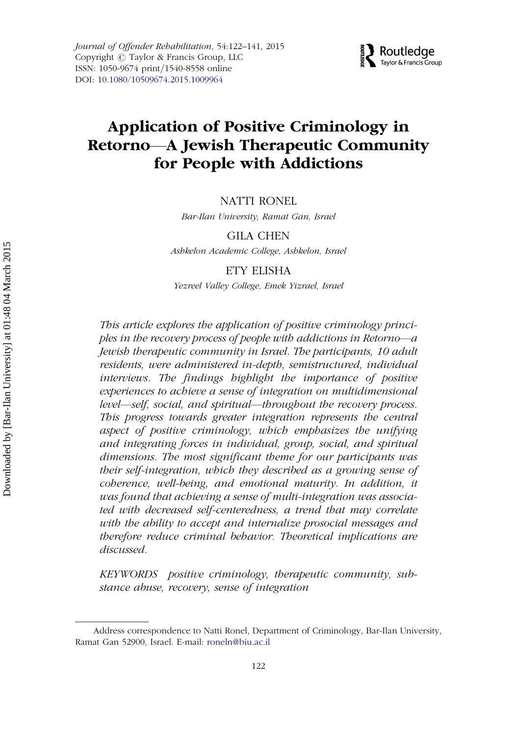### $\frac{3}{2}$  Routledge Taylor & Francis Group

## Application of Positive Criminology in Retorno—A Jewish Therapeutic Community for People with Addictions

NATTI RONEL

Bar-Ilan University, Ramat Gan, Israel

GILA CHEN Ashkelon Academic College, Ashkelon, Israel

#### ETY ELISHA

Yezreel Valley College, Emek Yizrael, Israel

This article explores the application of positive criminology principles in the recovery process of people with addictions in Retorno—a Jewish therapeutic community in Israel. The participants, 10 adult residents, were administered in-depth, semistructured, individual interviews. The findings highlight the importance of positive experiences to achieve a sense of integration on multidimensional level—self, social, and spiritual—throughout the recovery process. This progress towards greater integration represents the central aspect of positive criminology, which emphasizes the unifying and integrating forces in individual, group, social, and spiritual dimensions. The most significant theme for our participants was their self-integration, which they described as a growing sense of coherence, well-being, and emotional maturity. In addition, it was found that achieving a sense of multi-integration was associated with decreased self-centeredness, a trend that may correlate with the ability to accept and internalize prosocial messages and therefore reduce criminal behavior. Theoretical implications are discussed.

KEYWORDS positive criminology, therapeutic community, substance abuse, recovery, sense of integration

Address correspondence to Natti Ronel, Department of Criminology, Bar-Ilan University, Ramat Gan 52900, Israel. E-mail: [roneln@biu.ac.il](mailto:roneln@biu.ac.il)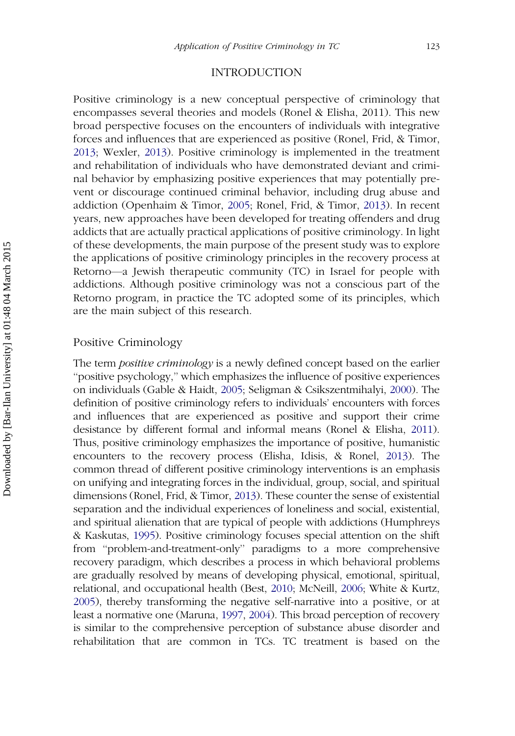#### INTRODUCTION

Positive criminology is a new conceptual perspective of criminology that encompasses several theories and models (Ronel & Elisha, 2011). This new broad perspective focuses on the encounters of individuals with integrative forces and influences that are experienced as positive (Ronel, Frid, & Timor, [2013;](#page-17-0) Wexler, [2013](#page-21-0)). Positive criminology is implemented in the treatment and rehabilitation of individuals who have demonstrated deviant and criminal behavior by emphasizing positive experiences that may potentially prevent or discourage continued criminal behavior, including drug abuse and addiction (Openhaim & Timor, [2005;](#page-20-0) Ronel, Frid, & Timor, [2013\)](#page-17-0). In recent years, new approaches have been developed for treating offenders and drug addicts that are actually practical applications of positive criminology. In light of these developments, the main purpose of the present study was to explore the applications of positive criminology principles in the recovery process at Retorno—a Jewish therapeutic community (TC) in Israel for people with addictions. Although positive criminology was not a conscious part of the Retorno program, in practice the TC adopted some of its principles, which are the main subject of this research.

#### Positive Criminology

The term *positive criminology* is a newly defined concept based on the earlier ''positive psychology,'' which emphasizes the influence of positive experiences on individuals (Gable & Haidt, [2005](#page-18-0); Seligman & Csikszentmihalyi, [2000\)](#page-21-0). The definition of positive criminology refers to individuals' encounters with forces and influences that are experienced as positive and support their crime desistance by different formal and informal means (Ronel & Elisha, [2011\)](#page-17-0). Thus, positive criminology emphasizes the importance of positive, humanistic encounters to the recovery process (Elisha, Idisis, & Ronel, [2013](#page-18-0)). The common thread of different positive criminology interventions is an emphasis on unifying and integrating forces in the individual, group, social, and spiritual dimensions (Ronel, Frid, & Timor, [2013\)](#page-17-0). These counter the sense of existential separation and the individual experiences of loneliness and social, existential, and spiritual alienation that are typical of people with addictions (Humphreys & Kaskutas, [1995\)](#page-19-0). Positive criminology focuses special attention on the shift from ''problem-and-treatment-only'' paradigms to a more comprehensive recovery paradigm, which describes a process in which behavioral problems are gradually resolved by means of developing physical, emotional, spiritual, relational, and occupational health (Best, [2010](#page-17-0); McNeill, [2006;](#page-20-0) White & Kurtz, [2005](#page-21-0)), thereby transforming the negative self-narrative into a positive, or at least a normative one (Maruna, [1997,](#page-19-0) [2004\)](#page-19-0). This broad perception of recovery is similar to the comprehensive perception of substance abuse disorder and rehabilitation that are common in TCs. TC treatment is based on the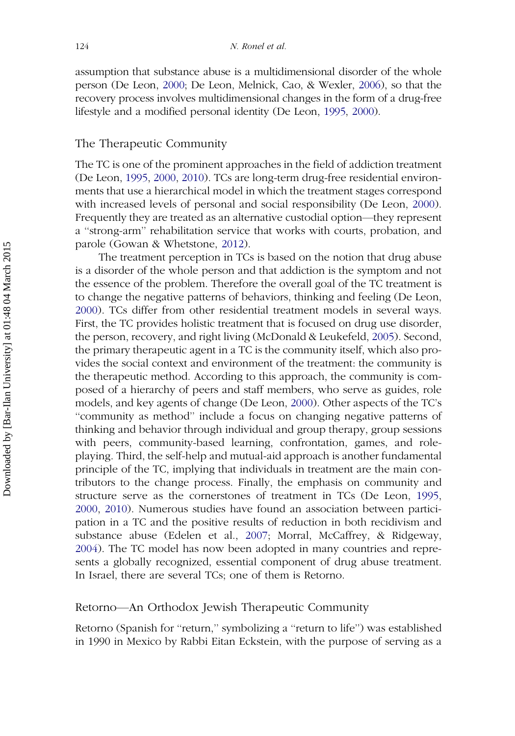assumption that substance abuse is a multidimensional disorder of the whole person (De Leon, [2000;](#page-18-0) De Leon, Melnick, Cao, & Wexler, [2006](#page-18-0)), so that the recovery process involves multidimensional changes in the form of a drug-free lifestyle and a modified personal identity (De Leon, [1995](#page-18-0), [2000\)](#page-18-0).

#### The Therapeutic Community

The TC is one of the prominent approaches in the field of addiction treatment (De Leon, [1995,](#page-18-0) [2000](#page-18-0), [2010\)](#page-18-0). TCs are long-term drug-free residential environments that use a hierarchical model in which the treatment stages correspond with increased levels of personal and social responsibility (De Leon, [2000](#page-18-0)). Frequently they are treated as an alternative custodial option—they represent a ''strong-arm'' rehabilitation service that works with courts, probation, and parole (Gowan & Whetstone, [2012\)](#page-18-0).

The treatment perception in TCs is based on the notion that drug abuse is a disorder of the whole person and that addiction is the symptom and not the essence of the problem. Therefore the overall goal of the TC treatment is to change the negative patterns of behaviors, thinking and feeling (De Leon, [2000\)](#page-18-0). TCs differ from other residential treatment models in several ways. First, the TC provides holistic treatment that is focused on drug use disorder, the person, recovery, and right living (McDonald & Leukefeld, [2005\)](#page-20-0). Second, the primary therapeutic agent in a TC is the community itself, which also provides the social context and environment of the treatment: the community is the therapeutic method. According to this approach, the community is composed of a hierarchy of peers and staff members, who serve as guides, role models, and key agents of change (De Leon, [2000](#page-18-0)). Other aspects of the TC's ''community as method'' include a focus on changing negative patterns of thinking and behavior through individual and group therapy, group sessions with peers, community-based learning, confrontation, games, and roleplaying. Third, the self-help and mutual-aid approach is another fundamental principle of the TC, implying that individuals in treatment are the main contributors to the change process. Finally, the emphasis on community and structure serve as the cornerstones of treatment in TCs (De Leon, [1995](#page-18-0), [2000,](#page-18-0) [2010](#page-18-0)). Numerous studies have found an association between participation in a TC and the positive results of reduction in both recidivism and substance abuse (Edelen et al., [2007;](#page-18-0) Morral, McCaffrey, & Ridgeway, [2004\)](#page-20-0). The TC model has now been adopted in many countries and represents a globally recognized, essential component of drug abuse treatment. In Israel, there are several TCs; one of them is Retorno.

#### Retorno—An Orthodox Jewish Therapeutic Community

Retorno (Spanish for ''return,'' symbolizing a ''return to life'') was established in 1990 in Mexico by Rabbi Eitan Eckstein, with the purpose of serving as a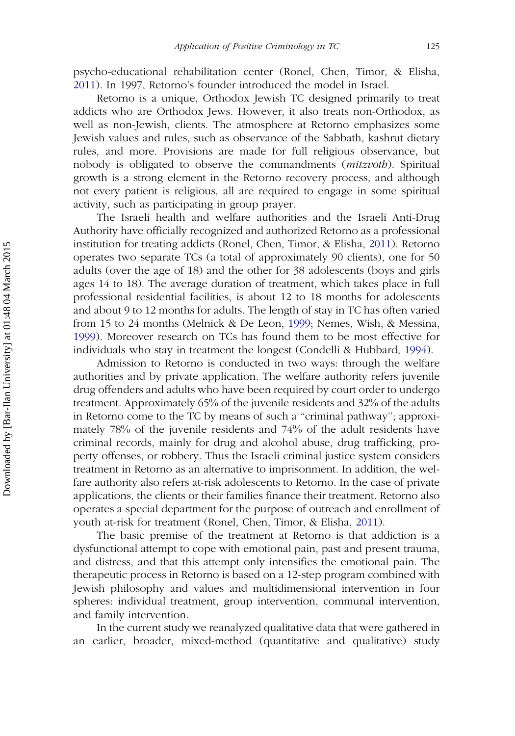psycho-educational rehabilitation center (Ronel, Chen, Timor, & Elisha, [2011\)](#page-17-0). In 1997, Retorno's founder introduced the model in Israel.

Retorno is a unique, Orthodox Jewish TC designed primarily to treat addicts who are Orthodox Jews. However, it also treats non-Orthodox, as well as non-Jewish, clients. The atmosphere at Retorno emphasizes some Jewish values and rules, such as observance of the Sabbath, kashrut dietary rules, and more. Provisions are made for full religious observance, but nobody is obligated to observe the commandments (*mitzvoth*). Spiritual growth is a strong element in the Retorno recovery process, and although not every patient is religious, all are required to engage in some spiritual activity, such as participating in group prayer.

The Israeli health and welfare authorities and the Israeli Anti-Drug Authority have officially recognized and authorized Retorno as a professional institution for treating addicts (Ronel, Chen, Timor, & Elisha, [2011\)](#page-17-0). Retorno operates two separate TCs (a total of approximately 90 clients), one for 50 adults (over the age of 18) and the other for 38 adolescents (boys and girls ages 14 to 18). The average duration of treatment, which takes place in full professional residential facilities, is about 12 to 18 months for adolescents and about 9 to 12 months for adults. The length of stay in TC has often varied from 15 to 24 months (Melnick & De Leon, [1999;](#page-20-0) Nemes, Wish, & Messina, [1999\)](#page-20-0). Moreover research on TCs has found them to be most effective for individuals who stay in treatment the longest (Condelli & Hubbard, [1994\)](#page-18-0).

Admission to Retorno is conducted in two ways: through the welfare authorities and by private application. The welfare authority refers juvenile drug offenders and adults who have been required by court order to undergo treatment. Approximately 65% of the juvenile residents and 32% of the adults in Retorno come to the TC by means of such a ''criminal pathway''; approximately 78% of the juvenile residents and 74% of the adult residents have criminal records, mainly for drug and alcohol abuse, drug trafficking, property offenses, or robbery. Thus the Israeli criminal justice system considers treatment in Retorno as an alternative to imprisonment. In addition, the welfare authority also refers at-risk adolescents to Retorno. In the case of private applications, the clients or their families finance their treatment. Retorno also operates a special department for the purpose of outreach and enrollment of youth at-risk for treatment (Ronel, Chen, Timor, & Elisha, [2011](#page-17-0)).

The basic premise of the treatment at Retorno is that addiction is a dysfunctional attempt to cope with emotional pain, past and present trauma, and distress, and that this attempt only intensifies the emotional pain. The therapeutic process in Retorno is based on a 12-step program combined with Jewish philosophy and values and multidimensional intervention in four spheres: individual treatment, group intervention, communal intervention, and family intervention.

In the current study we reanalyzed qualitative data that were gathered in an earlier, broader, mixed-method (quantitative and qualitative) study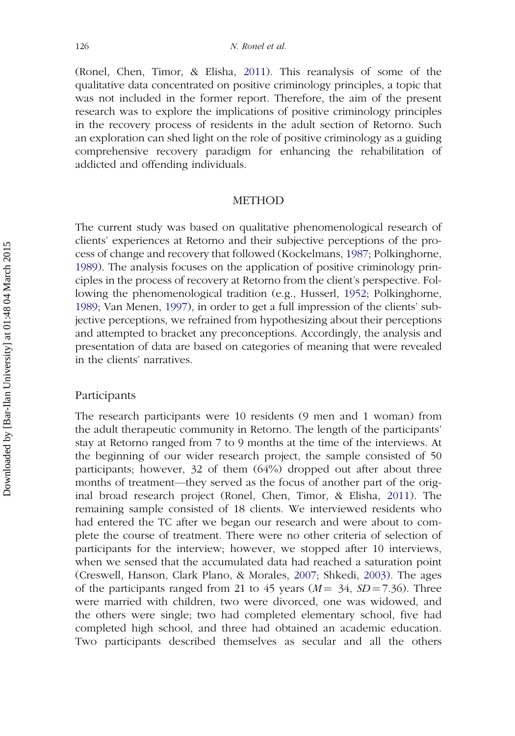(Ronel, Chen, Timor, & Elisha, [2011](#page-17-0)). This reanalysis of some of the qualitative data concentrated on positive criminology principles, a topic that was not included in the former report. Therefore, the aim of the present research was to explore the implications of positive criminology principles in the recovery process of residents in the adult section of Retorno. Such an exploration can shed light on the role of positive criminology as a guiding comprehensive recovery paradigm for enhancing the rehabilitation of addicted and offending individuals.

#### METHOD

The current study was based on qualitative phenomenological research of clients' experiences at Retorno and their subjective perceptions of the process of change and recovery that followed (Kockelmans, [1987](#page-19-0); Polkinghorne, [1989\)](#page-20-0). The analysis focuses on the application of positive criminology principles in the process of recovery at Retorno from the client's perspective. Following the phenomenological tradition (e.g., Husserl, [1952](#page-19-0); Polkinghorne, [1989;](#page-20-0) Van Menen, [1997](#page-21-0)), in order to get a full impression of the clients' subjective perceptions, we refrained from hypothesizing about their perceptions and attempted to bracket any preconceptions. Accordingly, the analysis and presentation of data are based on categories of meaning that were revealed in the clients' narratives.

#### Participants

The research participants were 10 residents (9 men and 1 woman) from the adult therapeutic community in Retorno. The length of the participants' stay at Retorno ranged from 7 to 9 months at the time of the interviews. At the beginning of our wider research project, the sample consisted of 50 participants; however, 32 of them (64%) dropped out after about three months of treatment—they served as the focus of another part of the original broad research project (Ronel, Chen, Timor, & Elisha, [2011\)](#page-17-0). The remaining sample consisted of 18 clients. We interviewed residents who had entered the TC after we began our research and were about to complete the course of treatment. There were no other criteria of selection of participants for the interview; however, we stopped after 10 interviews, when we sensed that the accumulated data had reached a saturation point (Creswell, Hanson, Clark Plano, & Morales, [2007;](#page-18-0) Shkedi, [2003\)](#page-21-0). The ages of the participants ranged from 21 to 45 years  $(M = 34, SD = 7.36)$ . Three were married with children, two were divorced, one was widowed, and the others were single; two had completed elementary school, five had completed high school, and three had obtained an academic education. Two participants described themselves as secular and all the others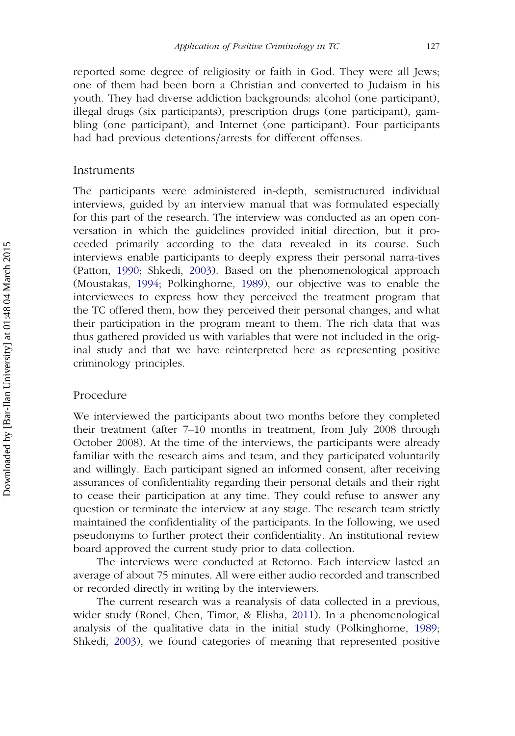reported some degree of religiosity or faith in God. They were all Jews; one of them had been born a Christian and converted to Judaism in his youth. They had diverse addiction backgrounds: alcohol (one participant), illegal drugs (six participants), prescription drugs (one participant), gambling (one participant), and Internet (one participant). Four participants had had previous detentions/arrests for different offenses.

#### Instruments

The participants were administered in-depth, semistructured individual interviews, guided by an interview manual that was formulated especially for this part of the research. The interview was conducted as an open conversation in which the guidelines provided initial direction, but it proceeded primarily according to the data revealed in its course. Such interviews enable participants to deeply express their personal narra-tives (Patton, [1990](#page-20-0); Shkedi, [2003](#page-21-0)). Based on the phenomenological approach (Moustakas, [1994](#page-20-0); Polkinghorne, [1989\)](#page-20-0), our objective was to enable the interviewees to express how they perceived the treatment program that the TC offered them, how they perceived their personal changes, and what their participation in the program meant to them. The rich data that was thus gathered provided us with variables that were not included in the original study and that we have reinterpreted here as representing positive criminology principles.

#### Procedure

We interviewed the participants about two months before they completed their treatment (after 7–10 months in treatment, from July 2008 through October 2008). At the time of the interviews, the participants were already familiar with the research aims and team, and they participated voluntarily and willingly. Each participant signed an informed consent, after receiving assurances of confidentiality regarding their personal details and their right to cease their participation at any time. They could refuse to answer any question or terminate the interview at any stage. The research team strictly maintained the confidentiality of the participants. In the following, we used pseudonyms to further protect their confidentiality. An institutional review board approved the current study prior to data collection.

The interviews were conducted at Retorno. Each interview lasted an average of about 75 minutes. All were either audio recorded and transcribed or recorded directly in writing by the interviewers.

The current research was a reanalysis of data collected in a previous, wider study (Ronel, Chen, Timor, & Elisha, [2011](#page-17-0)). In a phenomenological analysis of the qualitative data in the initial study (Polkinghorne, [1989;](#page-20-0) Shkedi, [2003](#page-21-0)), we found categories of meaning that represented positive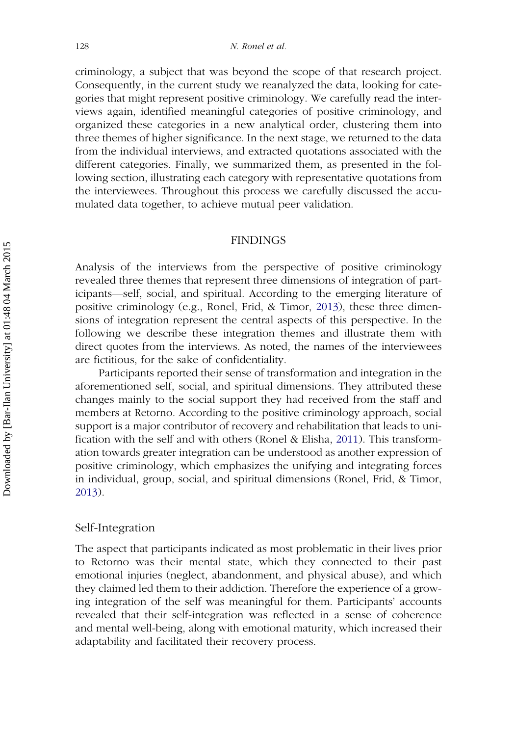criminology, a subject that was beyond the scope of that research project. Consequently, in the current study we reanalyzed the data, looking for categories that might represent positive criminology. We carefully read the interviews again, identified meaningful categories of positive criminology, and organized these categories in a new analytical order, clustering them into three themes of higher significance. In the next stage, we returned to the data from the individual interviews, and extracted quotations associated with the different categories. Finally, we summarized them, as presented in the following section, illustrating each category with representative quotations from the interviewees. Throughout this process we carefully discussed the accumulated data together, to achieve mutual peer validation.

#### FINDINGS

Analysis of the interviews from the perspective of positive criminology revealed three themes that represent three dimensions of integration of participants—self, social, and spiritual. According to the emerging literature of positive criminology (e.g., Ronel, Frid, & Timor, [2013](#page-17-0)), these three dimensions of integration represent the central aspects of this perspective. In the following we describe these integration themes and illustrate them with direct quotes from the interviews. As noted, the names of the interviewees are fictitious, for the sake of confidentiality.

Participants reported their sense of transformation and integration in the aforementioned self, social, and spiritual dimensions. They attributed these changes mainly to the social support they had received from the staff and members at Retorno. According to the positive criminology approach, social support is a major contributor of recovery and rehabilitation that leads to unification with the self and with others (Ronel & Elisha, [2011\)](#page-17-0). This transformation towards greater integration can be understood as another expression of positive criminology, which emphasizes the unifying and integrating forces in individual, group, social, and spiritual dimensions (Ronel, Frid, & Timor, [2013\)](#page-17-0).

#### Self-Integration

The aspect that participants indicated as most problematic in their lives prior to Retorno was their mental state, which they connected to their past emotional injuries (neglect, abandonment, and physical abuse), and which they claimed led them to their addiction. Therefore the experience of a growing integration of the self was meaningful for them. Participants' accounts revealed that their self-integration was reflected in a sense of coherence and mental well-being, along with emotional maturity, which increased their adaptability and facilitated their recovery process.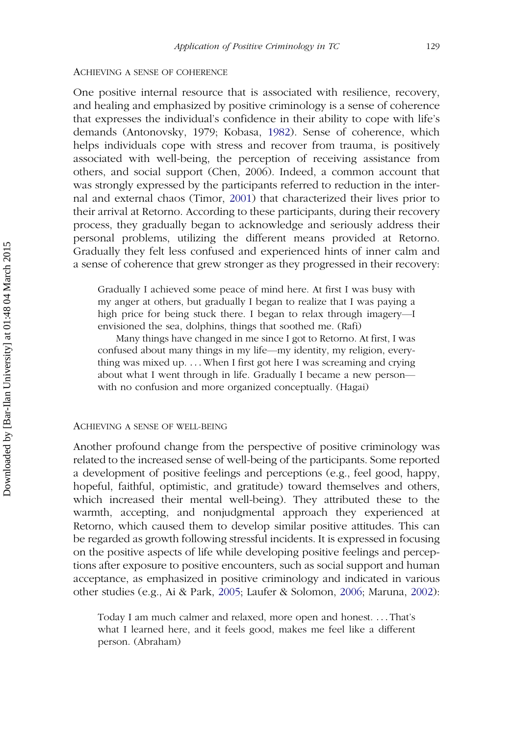#### ACHIEVING A SENSE OF COHERENCE

One positive internal resource that is associated with resilience, recovery, and healing and emphasized by positive criminology is a sense of coherence that expresses the individual's confidence in their ability to cope with life's demands (Antonovsky, 1979; Kobasa, [1982\)](#page-19-0). Sense of coherence, which helps individuals cope with stress and recover from trauma, is positively associated with well-being, the perception of receiving assistance from others, and social support (Chen, 2006). Indeed, a common account that was strongly expressed by the participants referred to reduction in the internal and external chaos (Timor, [2001](#page-21-0)) that characterized their lives prior to their arrival at Retorno. According to these participants, during their recovery process, they gradually began to acknowledge and seriously address their personal problems, utilizing the different means provided at Retorno. Gradually they felt less confused and experienced hints of inner calm and a sense of coherence that grew stronger as they progressed in their recovery:

Gradually I achieved some peace of mind here. At first I was busy with my anger at others, but gradually I began to realize that I was paying a high price for being stuck there. I began to relax through imagery—I envisioned the sea, dolphins, things that soothed me. (Rafi)

Many things have changed in me since I got to Retorno. At first, I was confused about many things in my life—my identity, my religion, everything was mixed up. ... When I first got here I was screaming and crying about what I went through in life. Gradually I became a new person with no confusion and more organized conceptually. (Hagai)

#### ACHIEVING A SENSE OF WELL-BEING

Another profound change from the perspective of positive criminology was related to the increased sense of well-being of the participants. Some reported a development of positive feelings and perceptions (e.g., feel good, happy, hopeful, faithful, optimistic, and gratitude) toward themselves and others, which increased their mental well-being). They attributed these to the warmth, accepting, and nonjudgmental approach they experienced at Retorno, which caused them to develop similar positive attitudes. This can be regarded as growth following stressful incidents. It is expressed in focusing on the positive aspects of life while developing positive feelings and perceptions after exposure to positive encounters, such as social support and human acceptance, as emphasized in positive criminology and indicated in various other studies (e.g., Ai & Park, [2005](#page-17-0); Laufer & Solomon, [2006](#page-19-0); Maruna, [2002\)](#page-19-0):

Today I am much calmer and relaxed, more open and honest. ... That's what I learned here, and it feels good, makes me feel like a different person. (Abraham)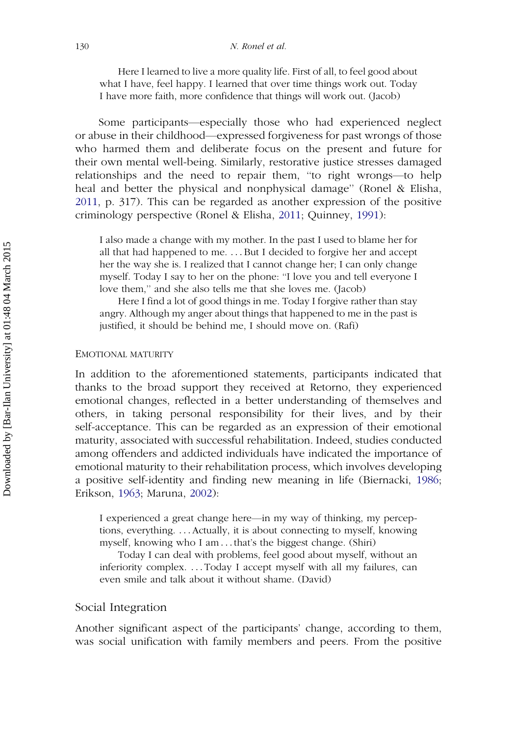Here I learned to live a more quality life. First of all, to feel good about what I have, feel happy. I learned that over time things work out. Today I have more faith, more confidence that things will work out. (Jacob)

Some participants—especially those who had experienced neglect or abuse in their childhood—expressed forgiveness for past wrongs of those who harmed them and deliberate focus on the present and future for their own mental well-being. Similarly, restorative justice stresses damaged relationships and the need to repair them, ''to right wrongs—to help heal and better the physical and nonphysical damage'' (Ronel & Elisha, [2011,](#page-17-0) p. 317). This can be regarded as another expression of the positive criminology perspective (Ronel & Elisha, [2011;](#page-17-0) Quinney, [1991](#page-20-0)):

I also made a change with my mother. In the past I used to blame her for all that had happened to me. ... But I decided to forgive her and accept her the way she is. I realized that I cannot change her; I can only change myself. Today I say to her on the phone: ''I love you and tell everyone I love them,'' and she also tells me that she loves me. (Jacob)

Here I find a lot of good things in me. Today I forgive rather than stay angry. Although my anger about things that happened to me in the past is justified, it should be behind me, I should move on. (Rafi)

#### EMOTIONAL MATURITY

In addition to the aforementioned statements, participants indicated that thanks to the broad support they received at Retorno, they experienced emotional changes, reflected in a better understanding of themselves and others, in taking personal responsibility for their lives, and by their self-acceptance. This can be regarded as an expression of their emotional maturity, associated with successful rehabilitation. Indeed, studies conducted among offenders and addicted individuals have indicated the importance of emotional maturity to their rehabilitation process, which involves developing a positive self-identity and finding new meaning in life (Biernacki, [1986](#page-18-0); Erikson, [1963](#page-18-0); Maruna, [2002\)](#page-19-0):

I experienced a great change here—in my way of thinking, my perceptions, everything. ... Actually, it is about connecting to myself, knowing myself, knowing who I am ... that's the biggest change. (Shiri)

Today I can deal with problems, feel good about myself, without an inferiority complex. ... Today I accept myself with all my failures, can even smile and talk about it without shame. (David)

#### Social Integration

Another significant aspect of the participants' change, according to them, was social unification with family members and peers. From the positive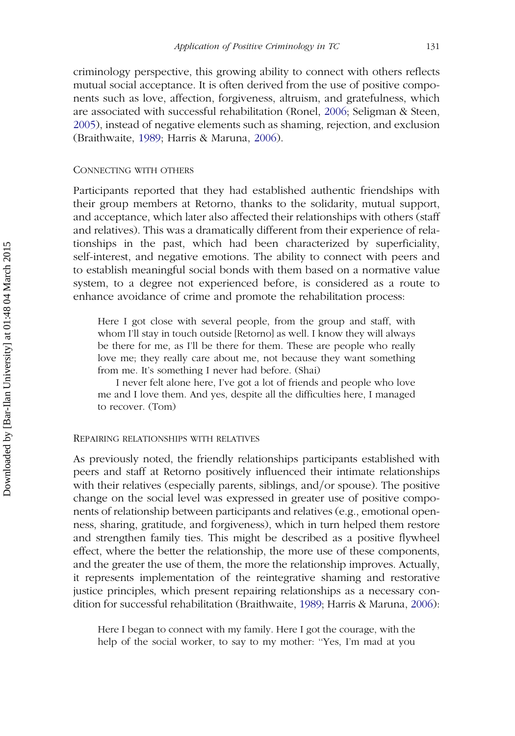criminology perspective, this growing ability to connect with others reflects mutual social acceptance. It is often derived from the use of positive components such as love, affection, forgiveness, altruism, and gratefulness, which are associated with successful rehabilitation (Ronel, [2006](#page-17-0); Seligman & Steen, [2005\)](#page-21-0), instead of negative elements such as shaming, rejection, and exclusion (Braithwaite, [1989](#page-18-0); Harris & Maruna, [2006\)](#page-19-0).

#### CONNECTING WITH OTHERS

Participants reported that they had established authentic friendships with their group members at Retorno, thanks to the solidarity, mutual support, and acceptance, which later also affected their relationships with others (staff and relatives). This was a dramatically different from their experience of relationships in the past, which had been characterized by superficiality, self-interest, and negative emotions. The ability to connect with peers and to establish meaningful social bonds with them based on a normative value system, to a degree not experienced before, is considered as a route to enhance avoidance of crime and promote the rehabilitation process:

Here I got close with several people, from the group and staff, with whom I'll stay in touch outside [Retorno] as well. I know they will always be there for me, as I'll be there for them. These are people who really love me; they really care about me, not because they want something from me. It's something I never had before. (Shai)

I never felt alone here, I've got a lot of friends and people who love me and I love them. And yes, despite all the difficulties here, I managed to recover. (Tom)

#### REPAIRING RELATIONSHIPS WITH RELATIVES

As previously noted, the friendly relationships participants established with peers and staff at Retorno positively influenced their intimate relationships with their relatives (especially parents, siblings, and/or spouse). The positive change on the social level was expressed in greater use of positive components of relationship between participants and relatives (e.g., emotional openness, sharing, gratitude, and forgiveness), which in turn helped them restore and strengthen family ties. This might be described as a positive flywheel effect, where the better the relationship, the more use of these components, and the greater the use of them, the more the relationship improves. Actually, it represents implementation of the reintegrative shaming and restorative justice principles, which present repairing relationships as a necessary condition for successful rehabilitation (Braithwaite, [1989;](#page-18-0) Harris & Maruna, [2006\)](#page-19-0):

Here I began to connect with my family. Here I got the courage, with the help of the social worker, to say to my mother: ''Yes, I'm mad at you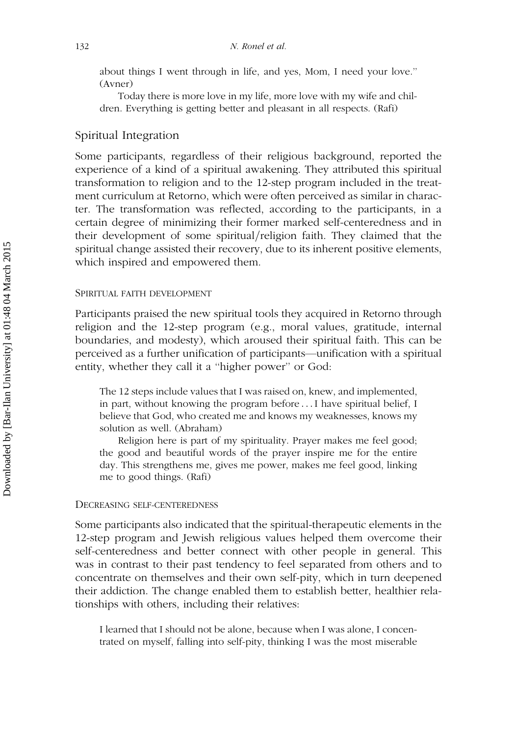about things I went through in life, and yes, Mom, I need your love.'' (Avner)

Today there is more love in my life, more love with my wife and children. Everything is getting better and pleasant in all respects. (Rafi)

#### Spiritual Integration

Some participants, regardless of their religious background, reported the experience of a kind of a spiritual awakening. They attributed this spiritual transformation to religion and to the 12-step program included in the treatment curriculum at Retorno, which were often perceived as similar in character. The transformation was reflected, according to the participants, in a certain degree of minimizing their former marked self-centeredness and in their development of some spiritual/religion faith. They claimed that the spiritual change assisted their recovery, due to its inherent positive elements, which inspired and empowered them.

#### SPIRITUAL FAITH DEVELOPMENT

Participants praised the new spiritual tools they acquired in Retorno through religion and the 12-step program (e.g., moral values, gratitude, internal boundaries, and modesty), which aroused their spiritual faith. This can be perceived as a further unification of participants—unification with a spiritual entity, whether they call it a ''higher power'' or God:

The 12 steps include values that I was raised on, knew, and implemented, in part, without knowing the program before ... I have spiritual belief, I believe that God, who created me and knows my weaknesses, knows my solution as well. (Abraham)

Religion here is part of my spirituality. Prayer makes me feel good; the good and beautiful words of the prayer inspire me for the entire day. This strengthens me, gives me power, makes me feel good, linking me to good things. (Rafi)

#### DECREASING SELF-CENTEREDNESS

Some participants also indicated that the spiritual-therapeutic elements in the 12-step program and Jewish religious values helped them overcome their self-centeredness and better connect with other people in general. This was in contrast to their past tendency to feel separated from others and to concentrate on themselves and their own self-pity, which in turn deepened their addiction. The change enabled them to establish better, healthier relationships with others, including their relatives:

I learned that I should not be alone, because when I was alone, I concentrated on myself, falling into self-pity, thinking I was the most miserable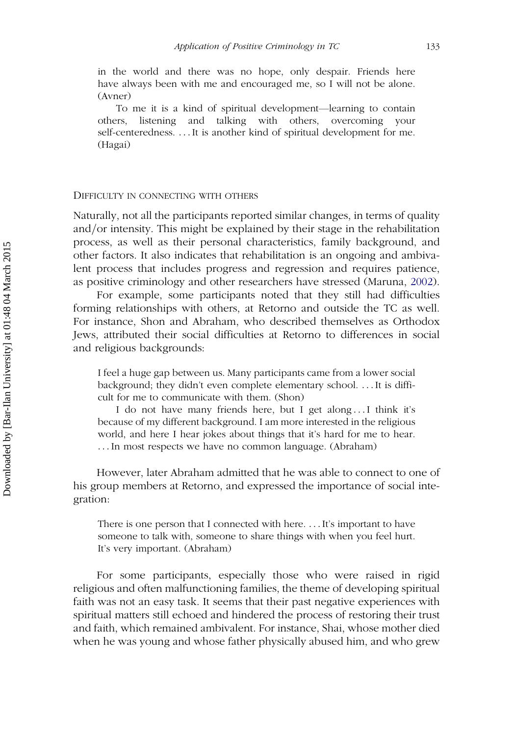in the world and there was no hope, only despair. Friends here have always been with me and encouraged me, so I will not be alone. (Avner)

To me it is a kind of spiritual development—learning to contain others, listening and talking with others, overcoming your self-centeredness. ... It is another kind of spiritual development for me. (Hagai)

#### DIFFICULTY IN CONNECTING WITH OTHERS

Naturally, not all the participants reported similar changes, in terms of quality and/or intensity. This might be explained by their stage in the rehabilitation process, as well as their personal characteristics, family background, and other factors. It also indicates that rehabilitation is an ongoing and ambivalent process that includes progress and regression and requires patience, as positive criminology and other researchers have stressed (Maruna, [2002\)](#page-19-0).

For example, some participants noted that they still had difficulties forming relationships with others, at Retorno and outside the TC as well. For instance, Shon and Abraham, who described themselves as Orthodox Jews, attributed their social difficulties at Retorno to differences in social and religious backgrounds:

I feel a huge gap between us. Many participants came from a lower social background; they didn't even complete elementary school. ... It is difficult for me to communicate with them. (Shon)

I do not have many friends here, but I get along ... I think it's because of my different background. I am more interested in the religious world, and here I hear jokes about things that it's hard for me to hear. ... In most respects we have no common language. (Abraham)

However, later Abraham admitted that he was able to connect to one of his group members at Retorno, and expressed the importance of social integration:

There is one person that I connected with here. ... It's important to have someone to talk with, someone to share things with when you feel hurt. It's very important. (Abraham)

For some participants, especially those who were raised in rigid religious and often malfunctioning families, the theme of developing spiritual faith was not an easy task. It seems that their past negative experiences with spiritual matters still echoed and hindered the process of restoring their trust and faith, which remained ambivalent. For instance, Shai, whose mother died when he was young and whose father physically abused him, and who grew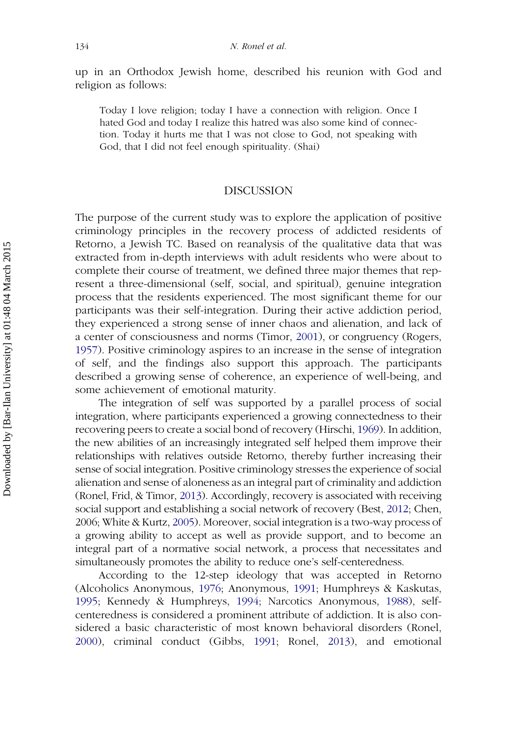up in an Orthodox Jewish home, described his reunion with God and religion as follows:

Today I love religion; today I have a connection with religion. Once I hated God and today I realize this hatred was also some kind of connection. Today it hurts me that I was not close to God, not speaking with God, that I did not feel enough spirituality. (Shai)

#### DISCUSSION

The purpose of the current study was to explore the application of positive criminology principles in the recovery process of addicted residents of Retorno, a Jewish TC. Based on reanalysis of the qualitative data that was extracted from in-depth interviews with adult residents who were about to complete their course of treatment, we defined three major themes that represent a three-dimensional (self, social, and spiritual), genuine integration process that the residents experienced. The most significant theme for our participants was their self-integration. During their active addiction period, they experienced a strong sense of inner chaos and alienation, and lack of a center of consciousness and norms (Timor, [2001\)](#page-21-0), or congruency (Rogers, [1957\)](#page-20-0). Positive criminology aspires to an increase in the sense of integration of self, and the findings also support this approach. The participants described a growing sense of coherence, an experience of well-being, and some achievement of emotional maturity.

The integration of self was supported by a parallel process of social integration, where participants experienced a growing connectedness to their recovering peers to create a social bond of recovery (Hirschi, [1969\)](#page-19-0). In addition, the new abilities of an increasingly integrated self helped them improve their relationships with relatives outside Retorno, thereby further increasing their sense of social integration. Positive criminology stresses the experience of social alienation and sense of aloneness as an integral part of criminality and addiction (Ronel, Frid, & Timor, [2013](#page-17-0)). Accordingly, recovery is associated with receiving social support and establishing a social network of recovery (Best, [2012;](#page-17-0) Chen, 2006; White & Kurtz, [2005](#page-21-0)). Moreover, social integration is a two-way process of a growing ability to accept as well as provide support, and to become an integral part of a normative social network, a process that necessitates and simultaneously promotes the ability to reduce one's self-centeredness.

According to the 12-step ideology that was accepted in Retorno (Alcoholics Anonymous, [1976](#page-17-0); Anonymous, [1991](#page-17-0); Humphreys & Kaskutas, [1995;](#page-19-0) Kennedy & Humphreys, [1994](#page-19-0); Narcotics Anonymous, [1988\)](#page-20-0), selfcenteredness is considered a prominent attribute of addiction. It is also considered a basic characteristic of most known behavioral disorders (Ronel, [2000\)](#page-17-0), criminal conduct (Gibbs, [1991](#page-18-0); Ronel, [2013\)](#page-17-0), and emotional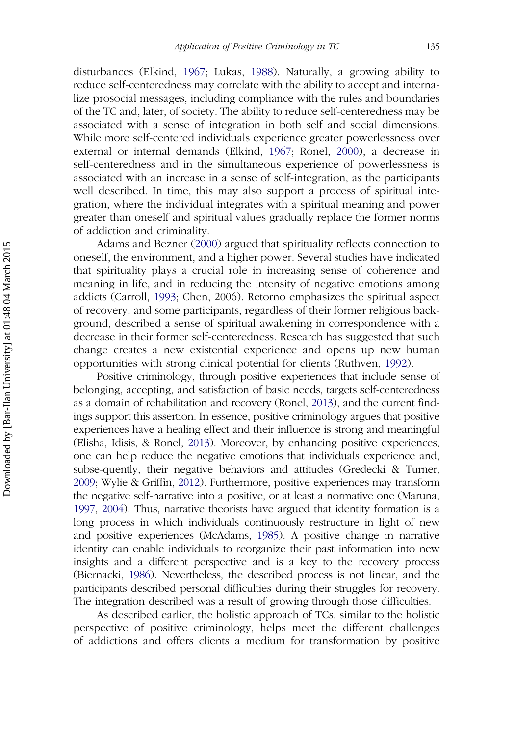disturbances (Elkind, [1967;](#page-18-0) Lukas, [1988](#page-19-0)). Naturally, a growing ability to reduce self-centeredness may correlate with the ability to accept and internalize prosocial messages, including compliance with the rules and boundaries of the TC and, later, of society. The ability to reduce self-centeredness may be associated with a sense of integration in both self and social dimensions. While more self-centered individuals experience greater powerlessness over external or internal demands (Elkind, [1967](#page-18-0); Ronel, [2000](#page-17-0)), a decrease in self-centeredness and in the simultaneous experience of powerlessness is associated with an increase in a sense of self-integration, as the participants well described. In time, this may also support a process of spiritual integration, where the individual integrates with a spiritual meaning and power greater than oneself and spiritual values gradually replace the former norms of addiction and criminality.

Adams and Bezner ([2000\)](#page-17-0) argued that spirituality reflects connection to oneself, the environment, and a higher power. Several studies have indicated that spirituality plays a crucial role in increasing sense of coherence and meaning in life, and in reducing the intensity of negative emotions among addicts (Carroll, [1993](#page-18-0); Chen, 2006). Retorno emphasizes the spiritual aspect of recovery, and some participants, regardless of their former religious background, described a sense of spiritual awakening in correspondence with a decrease in their former self-centeredness. Research has suggested that such change creates a new existential experience and opens up new human opportunities with strong clinical potential for clients (Ruthven, [1992](#page-20-0)).

Positive criminology, through positive experiences that include sense of belonging, accepting, and satisfaction of basic needs, targets self-centeredness as a domain of rehabilitation and recovery (Ronel, [2013\)](#page-17-0), and the current findings support this assertion. In essence, positive criminology argues that positive experiences have a healing effect and their influence is strong and meaningful (Elisha, Idisis, & Ronel, [2013](#page-18-0)). Moreover, by enhancing positive experiences, one can help reduce the negative emotions that individuals experience and, subse-quently, their negative behaviors and attitudes (Gredecki & Turner, [2009](#page-18-0); Wylie & Griffin, [2012](#page-21-0)). Furthermore, positive experiences may transform the negative self-narrative into a positive, or at least a normative one (Maruna, [1997](#page-19-0), [2004\)](#page-19-0). Thus, narrative theorists have argued that identity formation is a long process in which individuals continuously restructure in light of new and positive experiences (McAdams, [1985\)](#page-20-0). A positive change in narrative identity can enable individuals to reorganize their past information into new insights and a different perspective and is a key to the recovery process (Biernacki, [1986](#page-18-0)). Nevertheless, the described process is not linear, and the participants described personal difficulties during their struggles for recovery. The integration described was a result of growing through those difficulties.

As described earlier, the holistic approach of TCs, similar to the holistic perspective of positive criminology, helps meet the different challenges of addictions and offers clients a medium for transformation by positive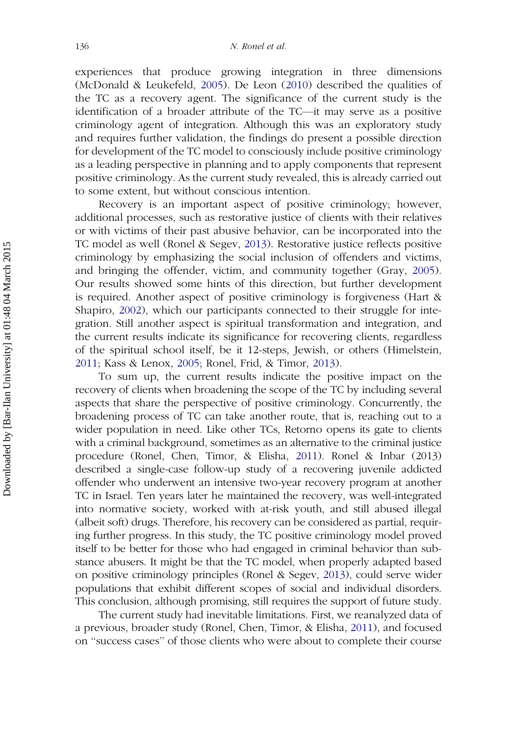experiences that produce growing integration in three dimensions (McDonald & Leukefeld, [2005](#page-20-0)). De Leon [\(2010](#page-18-0)) described the qualities of the TC as a recovery agent. The significance of the current study is the identification of a broader attribute of the TC—it may serve as a positive criminology agent of integration. Although this was an exploratory study and requires further validation, the findings do present a possible direction for development of the TC model to consciously include positive criminology as a leading perspective in planning and to apply components that represent positive criminology. As the current study revealed, this is already carried out to some extent, but without conscious intention.

Recovery is an important aspect of positive criminology; however, additional processes, such as restorative justice of clients with their relatives or with victims of their past abusive behavior, can be incorporated into the TC model as well (Ronel & Segev, [2013\)](#page-18-0). Restorative justice reflects positive criminology by emphasizing the social inclusion of offenders and victims, and bringing the offender, victim, and community together (Gray, [2005](#page-18-0)). Our results showed some hints of this direction, but further development is required. Another aspect of positive criminology is forgiveness (Hart & Shapiro, [2002](#page-19-0)), which our participants connected to their struggle for integration. Still another aspect is spiritual transformation and integration, and the current results indicate its significance for recovering clients, regardless of the spiritual school itself, be it 12-steps, Jewish, or others (Himelstein, [2011;](#page-19-0) Kass & Lenox, [2005](#page-19-0); Ronel, Frid, & Timor, [2013](#page-17-0)).

To sum up, the current results indicate the positive impact on the recovery of clients when broadening the scope of the TC by including several aspects that share the perspective of positive criminology. Concurrently, the broadening process of TC can take another route, that is, reaching out to a wider population in need. Like other TCs, Retorno opens its gate to clients with a criminal background, sometimes as an alternative to the criminal justice procedure (Ronel, Chen, Timor, & Elisha, [2011\)](#page-17-0). Ronel & Inbar (2013) described a single-case follow-up study of a recovering juvenile addicted offender who underwent an intensive two-year recovery program at another TC in Israel. Ten years later he maintained the recovery, was well-integrated into normative society, worked with at-risk youth, and still abused illegal (albeit soft) drugs. Therefore, his recovery can be considered as partial, requiring further progress. In this study, the TC positive criminology model proved itself to be better for those who had engaged in criminal behavior than substance abusers. It might be that the TC model, when properly adapted based on positive criminology principles (Ronel & Segev, [2013\)](#page-18-0), could serve wider populations that exhibit different scopes of social and individual disorders. This conclusion, although promising, still requires the support of future study.

The current study had inevitable limitations. First, we reanalyzed data of a previous, broader study (Ronel, Chen, Timor, & Elisha, [2011\)](#page-17-0), and focused on ''success cases'' of those clients who were about to complete their course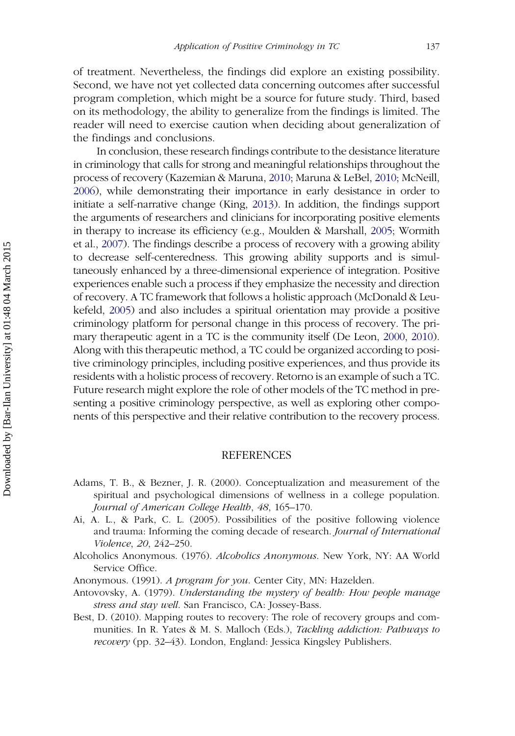<span id="page-17-0"></span>of treatment. Nevertheless, the findings did explore an existing possibility. Second, we have not yet collected data concerning outcomes after successful program completion, which might be a source for future study. Third, based on its methodology, the ability to generalize from the findings is limited. The reader will need to exercise caution when deciding about generalization of the findings and conclusions.

In conclusion, these research findings contribute to the desistance literature in criminology that calls for strong and meaningful relationships throughout the process of recovery (Kazemian & Maruna, [2010](#page-19-0); Maruna & LeBel, [2010;](#page-20-0) McNeill, [2006](#page-20-0)), while demonstrating their importance in early desistance in order to initiate a self-narrative change (King, [2013\)](#page-19-0). In addition, the findings support the arguments of researchers and clinicians for incorporating positive elements in therapy to increase its efficiency (e.g., Moulden & Marshall, [2005;](#page-20-0) Wormith et al., [2007](#page-21-0)). The findings describe a process of recovery with a growing ability to decrease self-centeredness. This growing ability supports and is simultaneously enhanced by a three-dimensional experience of integration. Positive experiences enable such a process if they emphasize the necessity and direction of recovery. A TC framework that follows a holistic approach (McDonald & Leukefeld, [2005](#page-20-0)) and also includes a spiritual orientation may provide a positive criminology platform for personal change in this process of recovery. The primary therapeutic agent in a TC is the community itself (De Leon, [2000](#page-18-0), [2010\)](#page-18-0). Along with this therapeutic method, a TC could be organized according to positive criminology principles, including positive experiences, and thus provide its residents with a holistic process of recovery. Retorno is an example of such a TC. Future research might explore the role of other models of the TC method in presenting a positive criminology perspective, as well as exploring other components of this perspective and their relative contribution to the recovery process.

#### REFERENCES

- Adams, T. B., & Bezner, J. R. (2000). Conceptualization and measurement of the spiritual and psychological dimensions of wellness in a college population. Journal of American College Health, 48, 165–170.
- Ai, A. L., & Park, C. L. (2005). Possibilities of the positive following violence and trauma: Informing the coming decade of research. Journal of International Violence, 20, 242–250.
- Alcoholics Anonymous. (1976). Alcoholics Anonymous. New York, NY: AA World Service Office.
- Anonymous. (1991). A program for you. Center City, MN: Hazelden.
- Antovovsky, A. (1979). Understanding the mystery of health: How people manage stress and stay well. San Francisco, CA: Jossey-Bass.
- Best, D. (2010). Mapping routes to recovery: The role of recovery groups and communities. In R. Yates & M. S. Malloch (Eds.), *Tackling addiction: Pathways to* recovery (pp. 32–43). London, England: Jessica Kingsley Publishers.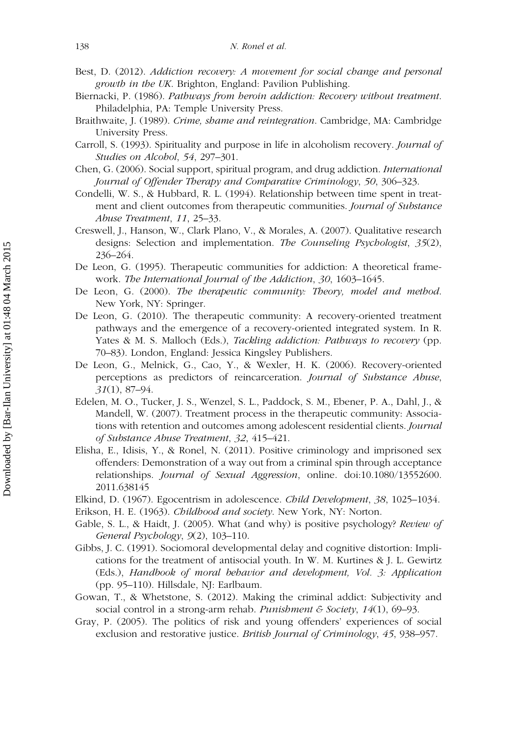- <span id="page-18-0"></span>Best, D. (2012). Addiction recovery: A movement for social change and personal growth in the UK. Brighton, England: Pavilion Publishing.
- Biernacki, P. (1986). Pathways from heroin addiction: Recovery without treatment. Philadelphia, PA: Temple University Press.
- Braithwaite, J. (1989). Crime, shame and reintegration. Cambridge, MA: Cambridge University Press.
- Carroll, S. (1993). Spirituality and purpose in life in alcoholism recovery. *Journal of* Studies on Alcohol, 54, 297–301.
- Chen, G. (2006). Social support, spiritual program, and drug addiction. International Journal of Offender Therapy and Comparative Criminology, 50, 306–323.
- Condelli, W. S., & Hubbard, R. L. (1994). Relationship between time spent in treatment and client outcomes from therapeutic communities. Journal of Substance Abuse Treatment, 11, 25–33.
- Creswell, J., Hanson, W., Clark Plano, V., & Morales, A. (2007). Qualitative research designs: Selection and implementation. The Counseling Psychologist, 35(2), 236–264.
- De Leon, G. (1995). Therapeutic communities for addiction: A theoretical framework. The International Journal of the Addiction, 30, 1603–1645.
- De Leon, G. (2000). The therapeutic community: Theory, model and method. New York, NY: Springer.
- De Leon, G. (2010). The therapeutic community: A recovery-oriented treatment pathways and the emergence of a recovery-oriented integrated system. In R. Yates & M. S. Malloch (Eds.), Tackling addiction: Pathways to recovery (pp. 70–83). London, England: Jessica Kingsley Publishers.
- De Leon, G., Melnick, G., Cao, Y., & Wexler, H. K. (2006). Recovery-oriented perceptions as predictors of reincarceration. Journal of Substance Abuse, 31(1), 87–94.
- Edelen, M. O., Tucker, J. S., Wenzel, S. L., Paddock, S. M., Ebener, P. A., Dahl, J., & Mandell, W. (2007). Treatment process in the therapeutic community: Associations with retention and outcomes among adolescent residential clients. Journal of Substance Abuse Treatment, 32, 415–421.
- Elisha, E., Idisis, Y., & Ronel, N. (2011). Positive criminology and imprisoned sex offenders: Demonstration of a way out from a criminal spin through acceptance relationships. Journal of Sexual Aggression, online. doi:10.1080/13552600. 2011.638145
- Elkind, D. (1967). Egocentrism in adolescence. Child Development, 38, 1025–1034.

Erikson, H. E. (1963). Childhood and society. New York, NY: Norton.

- Gable, S. L., & Haidt, J. (2005). What (and why) is positive psychology? Review of General Psychology, 9(2), 103–110.
- Gibbs, J. C. (1991). Sociomoral developmental delay and cognitive distortion: Implications for the treatment of antisocial youth. In W. M. Kurtines & J. L. Gewirtz (Eds.), Handbook of moral behavior and development, Vol. 3: Application (pp. 95–110). Hillsdale, NJ: Earlbaum.
- Gowan, T., & Whetstone, S. (2012). Making the criminal addict: Subjectivity and social control in a strong-arm rehab. Punishment & Society, 14(1), 69-93.
- Gray, P. (2005). The politics of risk and young offenders' experiences of social exclusion and restorative justice. British Journal of Criminology, 45, 938-957.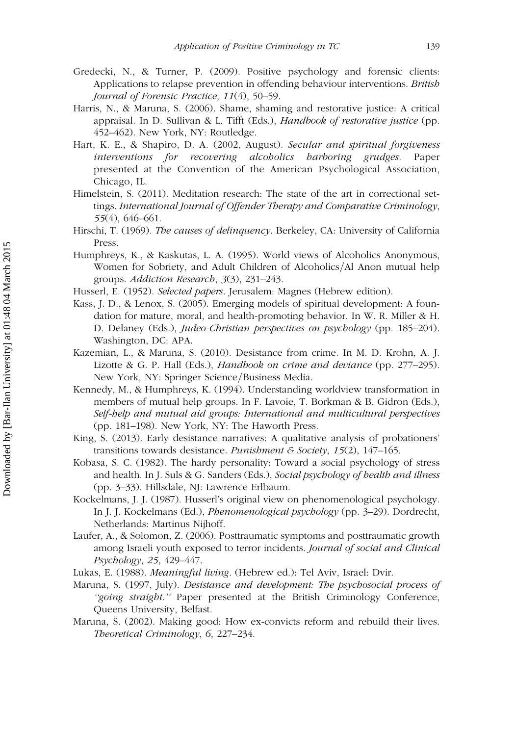- <span id="page-19-0"></span>Gredecki, N., & Turner, P. (2009). Positive psychology and forensic clients: Applications to relapse prevention in offending behaviour interventions. British Journal of Forensic Practice, 11(4), 50–59.
- Harris, N., & Maruna, S. (2006). Shame, shaming and restorative justice: A critical appraisal. In D. Sullivan & L. Tifft (Eds.), Handbook of restorative justice (pp. 452–462). New York, NY: Routledge.
- Hart, K. E., & Shapiro, D. A. (2002, August). Secular and spiritual forgiveness interventions for recovering alcoholics harboring grudges. Paper presented at the Convention of the American Psychological Association, Chicago, IL.
- Himelstein, S. (2011). Meditation research: The state of the art in correctional settings. International Journal of Offender Therapy and Comparative Criminology, 55(4), 646–661.
- Hirschi, T. (1969). The causes of delinquency. Berkeley, CA: University of California Press.
- Humphreys, K., & Kaskutas, L. A. (1995). World views of Alcoholics Anonymous, Women for Sobriety, and Adult Children of Alcoholics/Al Anon mutual help groups. Addiction Research, 3(3), 231–243.
- Husserl, E. (1952). Selected papers. Jerusalem: Magnes (Hebrew edition).
- Kass, J. D., & Lenox, S. (2005). Emerging models of spiritual development: A foundation for mature, moral, and health-promoting behavior. In W. R. Miller & H. D. Delaney (Eds.), *Judeo-Christian perspectives on psychology* (pp. 185–204). Washington, DC: APA.
- Kazemian, L., & Maruna, S. (2010). Desistance from crime. In M. D. Krohn, A. J. Lizotte & G. P. Hall (Eds.), *Handbook on crime and deviance* (pp.  $277-295$ ). New York, NY: Springer Science/Business Media.
- Kennedy, M., & Humphreys, K. (1994). Understanding worldview transformation in members of mutual help groups. In F. Lavoie, T. Borkman & B. Gidron (Eds.), Self-help and mutual aid groups: International and multicultural perspectives (pp. 181–198). New York, NY: The Haworth Press.
- King, S. (2013). Early desistance narratives: A qualitative analysis of probationers' transitions towards desistance. *Punishment* & Society, 15(2), 147–165.
- Kobasa, S. C. (1982). The hardy personality: Toward a social psychology of stress and health. In J. Suls & G. Sanders (Eds.), Social psychology of health and illness (pp. 3–33). Hillsdale, NJ: Lawrence Erlbaum.
- Kockelmans, J. J. (1987). Husserl's original view on phenomenological psychology. In J. J. Kockelmans (Ed.), Phenomenological psychology (pp. 3–29). Dordrecht, Netherlands: Martinus Nijhoff.
- Laufer, A., & Solomon, Z. (2006). Posttraumatic symptoms and posttraumatic growth among Israeli youth exposed to terror incidents. Journal of social and Clinical Psychology, 25, 429–447.
- Lukas, E. (1988). Meaningful living. (Hebrew ed.): Tel Aviv, Israel: Dvir.
- Maruna, S. (1997, July). Desistance and development: The psychosocial process of "going straight." Paper presented at the British Criminology Conference, Queens University, Belfast.
- Maruna, S. (2002). Making good: How ex-convicts reform and rebuild their lives. Theoretical Criminology, 6, 227–234.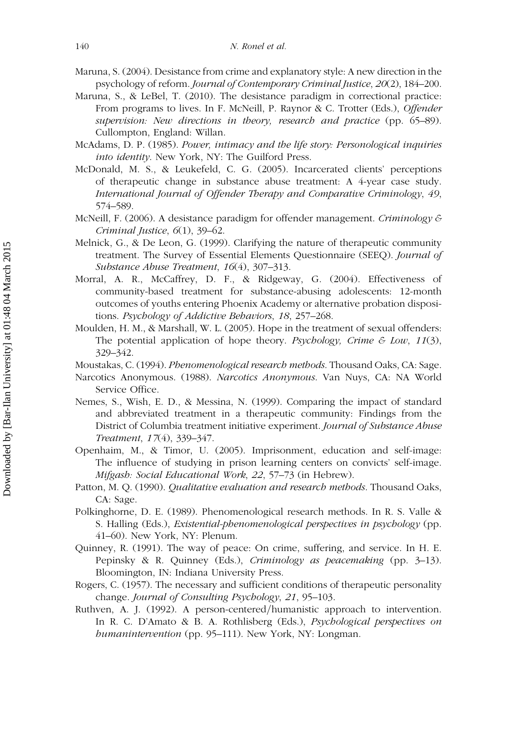- <span id="page-20-0"></span>Maruna, S. (2004). Desistance from crime and explanatory style: A new direction in the psychology of reform. Journal of Contemporary Criminal Justice, 20(2), 184–200.
- Maruna, S., & LeBel, T. (2010). The desistance paradigm in correctional practice: From programs to lives. In F. McNeill, P. Raynor & C. Trotter (Eds.), Offender supervision: New directions in theory, research and practice (pp. 65–89). Cullompton, England: Willan.
- McAdams, D. P. (1985). Power, intimacy and the life story: Personological inquiries into identity. New York, NY: The Guilford Press.
- McDonald, M. S., & Leukefeld, C. G. (2005). Incarcerated clients' perceptions of therapeutic change in substance abuse treatment: A 4-year case study. International Journal of Offender Therapy and Comparative Criminology, 49, 574–589.
- McNeill, F. (2006). A desistance paradigm for offender management. Criminology  $\epsilon$ Criminal Justice,  $6(1)$ , 39–62.
- Melnick, G., & De Leon, G. (1999). Clarifying the nature of therapeutic community treatment. The Survey of Essential Elements Questionnaire (SEEQ). Journal of Substance Abuse Treatment, 16(4), 307–313.
- Morral, A. R., McCaffrey, D. F., & Ridgeway, G. (2004). Effectiveness of community-based treatment for substance-abusing adolescents: 12-month outcomes of youths entering Phoenix Academy or alternative probation dispositions. Psychology of Addictive Behaviors, 18, 257–268.
- Moulden, H. M., & Marshall, W. L. (2005). Hope in the treatment of sexual offenders: The potential application of hope theory. Psychology, Crime & Low, 11(3), 329–342.
- Moustakas, C. (1994). Phenomenological research methods. Thousand Oaks, CA: Sage.
- Narcotics Anonymous. (1988). Narcotics Anonymous. Van Nuys, CA: NA World Service Office.
- Nemes, S., Wish, E. D., & Messina, N. (1999). Comparing the impact of standard and abbreviated treatment in a therapeutic community: Findings from the District of Columbia treatment initiative experiment. Journal of Substance Abuse Treatment, 17(4), 339–347.
- Openhaim, M., & Timor, U. (2005). Imprisonment, education and self-image: The influence of studying in prison learning centers on convicts' self-image. Mifgash: Social Educational Work, 22, 57–73 (in Hebrew).
- Patton, M. Q. (1990). *Qualitative evaluation and research methods*. Thousand Oaks, CA: Sage.
- Polkinghorne, D. E. (1989). Phenomenological research methods. In R. S. Valle & S. Halling (Eds.), Existential-phenomenological perspectives in psychology (pp. 41–60). New York, NY: Plenum.
- Quinney, R. (1991). The way of peace: On crime, suffering, and service. In H. E. Pepinsky & R. Quinney (Eds.), Criminology as peacemaking (pp. 3–13). Bloomington, IN: Indiana University Press.
- Rogers, C. (1957). The necessary and sufficient conditions of therapeutic personality change. Journal of Consulting Psychology, 21, 95–103.
- Ruthven, A. J. (1992). A person-centered/humanistic approach to intervention. In R. C. D'Amato & B. A. Rothlisberg (Eds.), Psychological perspectives on humanintervention (pp. 95–111). New York, NY: Longman.